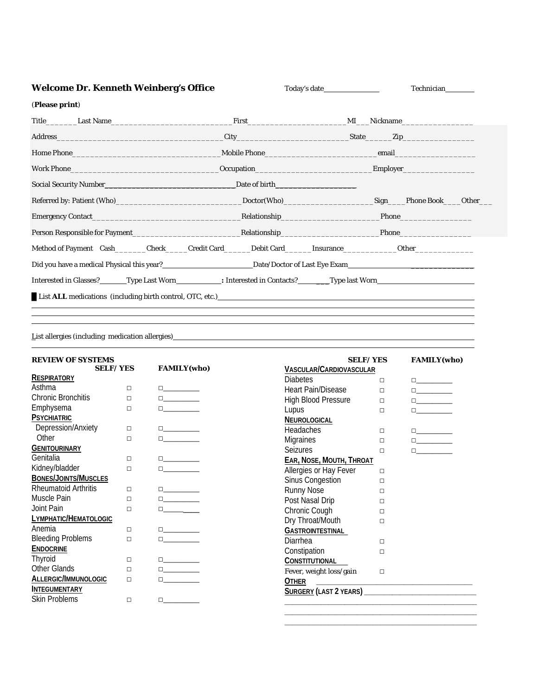| <b>Welcome Dr. Kenneth Weinberg's Office</b>                                                                                                                                                                                        |  | Technician |  |  |
|-------------------------------------------------------------------------------------------------------------------------------------------------------------------------------------------------------------------------------------|--|------------|--|--|
| (Please print)                                                                                                                                                                                                                      |  |            |  |  |
|                                                                                                                                                                                                                                     |  |            |  |  |
|                                                                                                                                                                                                                                     |  |            |  |  |
|                                                                                                                                                                                                                                     |  |            |  |  |
| Work Phone Management and the United States of the United States and the United States of the United States and Tables                                                                                                              |  |            |  |  |
|                                                                                                                                                                                                                                     |  |            |  |  |
| Referred by: Patient (Who)___________________________________Doctor(Who)________________________Sign____Phone Book____Other__                                                                                                       |  |            |  |  |
| Emergency Contact <b>Example 2.1 Contact Relationship Example 2.1 Contact Phone Phone Phone Phone Phone Phone Phone Phone Phone Phone Phone Phone Phone Phone Phone Phone Phone Phone Phon</b>                                      |  |            |  |  |
| Person Responsible for Payment <b>Executive Relationship</b> Phone Phone Phone Phone Phone Phone Phone Phone Phone Phone Phone Phone Phone Phone Phone Phone Phone Phone Phone Phone Phone Phone Phone Phone Phone Phone Phone Phon |  |            |  |  |
|                                                                                                                                                                                                                                     |  |            |  |  |
| Did you have a medical Physical this year?<br><u>Date/Doctor of Last Eye Exam</u>                                                                                                                                                   |  |            |  |  |
|                                                                                                                                                                                                                                     |  |            |  |  |
|                                                                                                                                                                                                                                     |  |            |  |  |
|                                                                                                                                                                                                                                     |  |            |  |  |

List allergies (including medication allergies)

| <b>REVIEW OF SYSTEMS</b>    |                 |                                                                                                                   |                                                         | <b>SELF/YES</b> | <b>FAMILY(who)</b>                                                                                                                                                                                                                                                                                                                                  |
|-----------------------------|-----------------|-------------------------------------------------------------------------------------------------------------------|---------------------------------------------------------|-----------------|-----------------------------------------------------------------------------------------------------------------------------------------------------------------------------------------------------------------------------------------------------------------------------------------------------------------------------------------------------|
|                             | <b>SELF/YES</b> | <b>FAMILY(who)</b>                                                                                                | <b>VASCULAR/CARDIOVASCULAR</b>                          |                 |                                                                                                                                                                                                                                                                                                                                                     |
| <b>RESPIRATORY</b>          |                 |                                                                                                                   | <b>Diabetes</b>                                         | $\Box$          | $\Box_{\underline{\hphantom{A}}\phantom{A}}$                                                                                                                                                                                                                                                                                                        |
| Asthma                      | $\Box$          | $\Box \hspace{0.06cm} \Box \hspace{0.06cm} \Box$                                                                  | Heart Pain/Disease                                      | $\Box$          |                                                                                                                                                                                                                                                                                                                                                     |
| <b>Chronic Bronchitis</b>   | $\Box$          | $\Box \hspace{0.06cm} \underbrace{\hspace{0.08cm}}$                                                               | High Blood Pressure                                     | $\Box$          | $\begin{picture}(10,10) \put(0,0){\line(1,0){10}} \put(15,0){\line(1,0){10}} \put(15,0){\line(1,0){10}} \put(15,0){\line(1,0){10}} \put(15,0){\line(1,0){10}} \put(15,0){\line(1,0){10}} \put(15,0){\line(1,0){10}} \put(15,0){\line(1,0){10}} \put(15,0){\line(1,0){10}} \put(15,0){\line(1,0){10}} \put(15,0){\line(1,0){10}} \put(15,0){\line(1$ |
| Emphysema                   | $\Box$          | $\Box$                                                                                                            | Lupus                                                   | $\Box$          | $\Box$                                                                                                                                                                                                                                                                                                                                              |
| <b>PSYCHIATRIC</b>          |                 |                                                                                                                   | NEUROLOGICAL                                            |                 |                                                                                                                                                                                                                                                                                                                                                     |
| Depression/Anxiety          | $\Box$          | $\Box$ and $\Box$ and $\Box$                                                                                      | <b>Headaches</b>                                        | $\Box$          | $\Box \hspace{1cm} \underline{\hspace{1cm}}$                                                                                                                                                                                                                                                                                                        |
| Other                       | $\Box$          | $\Box$ and $\Box$ and $\Box$                                                                                      | <b>Migraines</b>                                        | $\Box$          | $\begin{tabular}{ c c c } \hline \quad \quad & \quad \quad & \quad \quad \\ \hline \end{tabular}$                                                                                                                                                                                                                                                   |
| <b>GENITOURINARY</b>        |                 |                                                                                                                   | <b>Seizures</b>                                         | П               |                                                                                                                                                                                                                                                                                                                                                     |
| Genitalia                   | $\Box$          | $\Box \hspace{1cm} \underline{\hspace{1cm}}$                                                                      | <b>EAR, NOSE, MOUTH, THROAT</b>                         |                 |                                                                                                                                                                                                                                                                                                                                                     |
| Kidney/bladder              | $\Box$          | $\Box$ and $\Box$ and $\Box$                                                                                      | Allergies or Hay Fever                                  | $\Box$          |                                                                                                                                                                                                                                                                                                                                                     |
| <b>BONES/JOINTS/MUSCLES</b> |                 |                                                                                                                   | <b>Sinus Congestion</b>                                 | $\Box$          |                                                                                                                                                                                                                                                                                                                                                     |
| <b>Rheumatoid Arthritis</b> | $\Box$          | $\begin{tabular}{ c c c c } \hline \quad \quad & \quad \quad & \quad \quad & \quad \quad \\ \hline \end{tabular}$ | Runny Nose                                              | П               |                                                                                                                                                                                                                                                                                                                                                     |
| Muscle Pain                 | $\Box$          | $\begin{tabular}{ c c c } \hline \quad \quad & \quad \quad & \quad \quad \\ \hline \end{tabular}$                 | Post Nasal Drip                                         | П               |                                                                                                                                                                                                                                                                                                                                                     |
| Joint Pain                  | $\Box$          | $\Box$                                                                                                            | Chronic Cough                                           | П               |                                                                                                                                                                                                                                                                                                                                                     |
| LYMPHATIC/HEMATOLOGIC       |                 |                                                                                                                   | Dry Throat/Mouth                                        | $\Box$          |                                                                                                                                                                                                                                                                                                                                                     |
| Anemia                      | $\Box$          |                                                                                                                   | <b>GASTROINTESTINAL</b>                                 |                 |                                                                                                                                                                                                                                                                                                                                                     |
| <b>Bleeding Problems</b>    | $\Box$          | $\Box$ and $\Box$ and $\Box$                                                                                      | Diarrhea                                                | П               |                                                                                                                                                                                                                                                                                                                                                     |
| <b>ENDOCRINE</b>            |                 |                                                                                                                   | Constipation                                            | П               |                                                                                                                                                                                                                                                                                                                                                     |
| Thyroid                     | $\Box$          | $\Box \underbrace{\phantom{aaaaaaa}}$                                                                             | CONSTITUTIONAL                                          |                 |                                                                                                                                                                                                                                                                                                                                                     |
| Other Glands                | $\Box$          | $\begin{tabular}{ c c c c } \hline \quad \quad & \quad \quad & \quad \quad \\ \hline \end{tabular}$               | Fever, weight $\operatorname{loss}/\operatorname{gain}$ | $\Box$          |                                                                                                                                                                                                                                                                                                                                                     |
| ALLERGIC/IMMUNOLOGIC        | $\Box$          | $\Box$ and $\Box$ and $\Box$                                                                                      | <b>OTHER</b>                                            |                 |                                                                                                                                                                                                                                                                                                                                                     |
| <b>INTEGUMENTARY</b>        |                 |                                                                                                                   |                                                         |                 |                                                                                                                                                                                                                                                                                                                                                     |
| <b>Skin Problems</b>        | $\Box$          | $\Box$                                                                                                            |                                                         |                 |                                                                                                                                                                                                                                                                                                                                                     |
|                             |                 |                                                                                                                   |                                                         |                 |                                                                                                                                                                                                                                                                                                                                                     |
|                             |                 |                                                                                                                   |                                                         |                 |                                                                                                                                                                                                                                                                                                                                                     |

**\_\_\_\_\_\_\_\_\_\_\_\_\_\_\_\_\_\_\_\_\_\_\_\_\_\_\_\_\_\_\_\_\_\_\_\_\_\_\_\_\_\_\_\_\_\_\_\_**